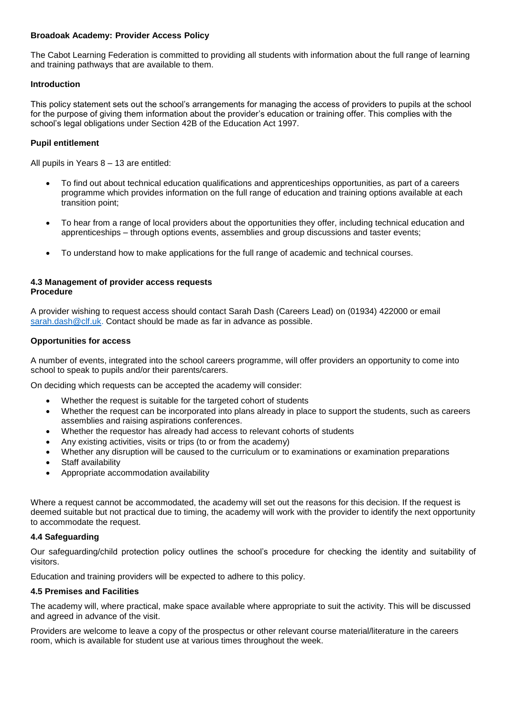## **Broadoak Academy: Provider Access Policy**

The Cabot Learning Federation is committed to providing all students with information about the full range of learning and training pathways that are available to them.

## **Introduction**

This policy statement sets out the school's arrangements for managing the access of providers to pupils at the school for the purpose of giving them information about the provider's education or training offer. This complies with the school's legal obligations under Section 42B of the Education Act 1997.

## **Pupil entitlement**

All pupils in Years 8 – 13 are entitled:

- To find out about technical education qualifications and apprenticeships opportunities, as part of a careers programme which provides information on the full range of education and training options available at each transition point;
- To hear from a range of local providers about the opportunities they offer, including technical education and apprenticeships – through options events, assemblies and group discussions and taster events;
- To understand how to make applications for the full range of academic and technical courses.

#### **4.3 Management of provider access requests Procedure**

A provider wishing to request access should contact Sarah Dash (Careers Lead) on (01934) 422000 or email [sarah.dash@clf.uk.](mailto:sarah.dash@clf.uk) Contact should be made as far in advance as possible.

#### **Opportunities for access**

A number of events, integrated into the school careers programme, will offer providers an opportunity to come into school to speak to pupils and/or their parents/carers.

On deciding which requests can be accepted the academy will consider:

- Whether the request is suitable for the targeted cohort of students
- Whether the request can be incorporated into plans already in place to support the students, such as careers assemblies and raising aspirations conferences.
- Whether the requestor has already had access to relevant cohorts of students
- Any existing activities, visits or trips (to or from the academy)
- Whether any disruption will be caused to the curriculum or to examinations or examination preparations
- Staff availability
- Appropriate accommodation availability

Where a request cannot be accommodated, the academy will set out the reasons for this decision. If the request is deemed suitable but not practical due to timing, the academy will work with the provider to identify the next opportunity to accommodate the request.

# **4.4 Safeguarding**

Our safeguarding/child protection policy outlines the school's procedure for checking the identity and suitability of visitors.

Education and training providers will be expected to adhere to this policy.

#### **4.5 Premises and Facilities**

The academy will, where practical, make space available where appropriate to suit the activity. This will be discussed and agreed in advance of the visit.

Providers are welcome to leave a copy of the prospectus or other relevant course material/literature in the careers room, which is available for student use at various times throughout the week.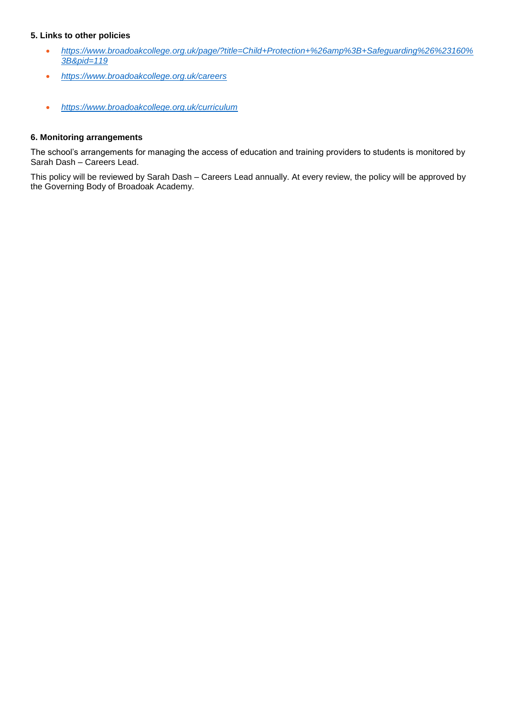# **5. Links to other policies**

- *[https://www.broadoakcollege.org.uk/page/?title=Child+Protection+%26amp%3B+Safeguarding%26%23160%](https://www.broadoakcollege.org.uk/page/?title=Child+Protection+%26amp%3B+Safeguarding%26%23160%3B&pid=119) [3B&pid=119](https://www.broadoakcollege.org.uk/page/?title=Child+Protection+%26amp%3B+Safeguarding%26%23160%3B&pid=119)*
- *<https://www.broadoakcollege.org.uk/careers>*
- *<https://www.broadoakcollege.org.uk/curriculum>*

# **6. Monitoring arrangements**

The school's arrangements for managing the access of education and training providers to students is monitored by Sarah Dash – Careers Lead.

This policy will be reviewed by Sarah Dash – Careers Lead annually. At every review, the policy will be approved by the Governing Body of Broadoak Academy.